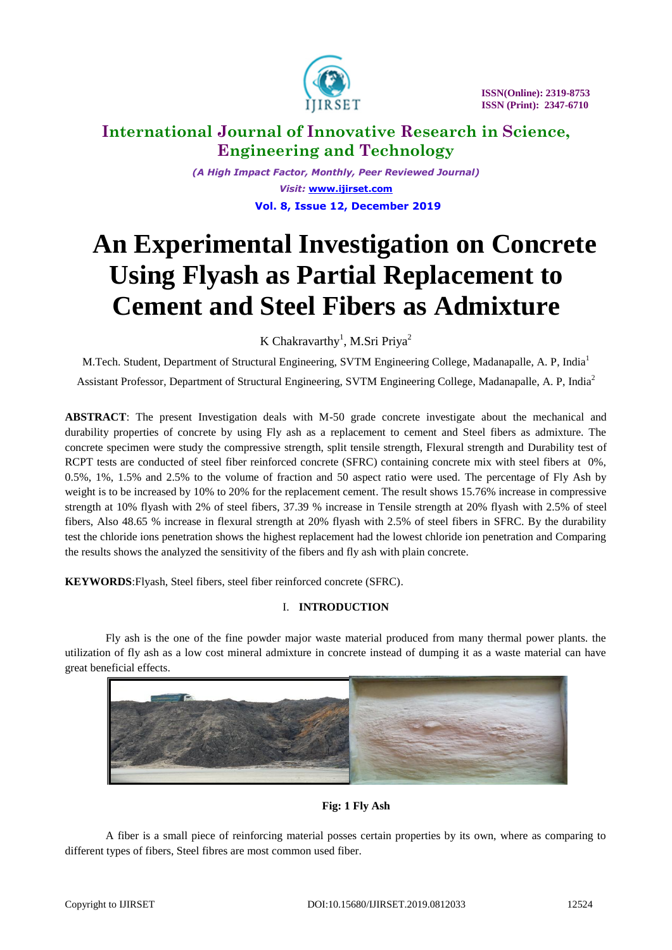

*(A High Impact Factor, Monthly, Peer Reviewed Journal) Visit:* **[www.ijirset.com](http://www.ijirset.com/) Vol. 8, Issue 12, December 2019**

# **An Experimental Investigation on Concrete Using Flyash as Partial Replacement to Cement and Steel Fibers as Admixture**

K Chakravarthy<sup>1</sup>, M.Sri Priya<sup>2</sup>

M.Tech. Student, Department of Structural Engineering, SVTM Engineering College, Madanapalle, A. P, India<sup>1</sup> Assistant Professor, Department of Structural Engineering, SVTM Engineering College, Madanapalle, A. P, India<sup>2</sup>

**ABSTRACT**: The present Investigation deals with M-50 grade concrete investigate about the mechanical and durability properties of concrete by using Fly ash as a replacement to cement and Steel fibers as admixture. The concrete specimen were study the compressive strength, split tensile strength, Flexural strength and Durability test of RCPT tests are conducted of steel fiber reinforced concrete (SFRC) containing concrete mix with steel fibers at 0%, 0.5%, 1%, 1.5% and 2.5% to the volume of fraction and 50 aspect ratio were used. The percentage of Fly Ash by weight is to be increased by 10% to 20% for the replacement cement. The result shows 15.76% increase in compressive strength at 10% flyash with 2% of steel fibers, 37.39 % increase in Tensile strength at 20% flyash with 2.5% of steel fibers, Also 48.65 % increase in flexural strength at 20% flyash with 2.5% of steel fibers in SFRC. By the durability test the chloride ions penetration shows the highest replacement had the lowest chloride ion penetration and Comparing the results shows the analyzed the sensitivity of the fibers and fly ash with plain concrete.

**KEYWORDS**:Flyash, Steel fibers, steel fiber reinforced concrete (SFRC).

## I. **INTRODUCTION**

Fly ash is the one of the fine powder major waste material produced from many thermal power plants. the utilization of fly ash as a low cost mineral admixture in concrete instead of dumping it as a waste material can have great beneficial effects.



**Fig: 1 Fly Ash**

A fiber is a small piece of reinforcing material posses certain properties by its own, where as comparing to different types of fibers, Steel fibres are most common used fiber.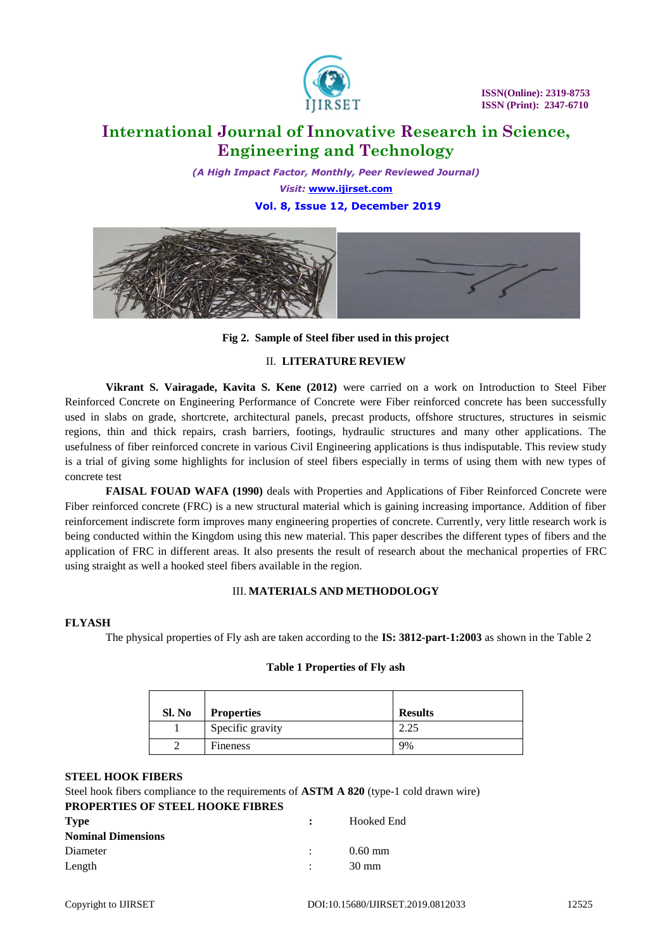

*(A High Impact Factor, Monthly, Peer Reviewed Journal) Visit:* **[www.ijirset.com](http://www.ijirset.com/)**

 **Vol. 8, Issue 12, December 2019**



**Fig 2. Sample of Steel fiber used in this project**

## II. **LITERATURE REVIEW**

**Vikrant S. Vairagade, Kavita S. Kene (2012)** were carried on a work on Introduction to Steel Fiber Reinforced Concrete on Engineering Performance of Concrete were Fiber reinforced concrete has been successfully used in slabs on grade, shortcrete, architectural panels, precast products, offshore structures, structures in seismic regions, thin and thick repairs, crash barriers, footings, hydraulic structures and many other applications. The usefulness of fiber reinforced concrete in various Civil Engineering applications is thus indisputable. This review study is a trial of giving some highlights for inclusion of steel fibers especially in terms of using them with new types of concrete test

**FAISAL FOUAD WAFA (1990)** deals with Properties and Applications of Fiber Reinforced Concrete were Fiber reinforced concrete (FRC) is a new structural material which is gaining increasing importance. Addition of fiber reinforcement indiscrete form improves many engineering properties of concrete. Currently, very little research work is being conducted within the Kingdom using this new material. This paper describes the different types of fibers and the application of FRC in different areas. It also presents the result of research about the mechanical properties of FRC using straight as well a hooked steel fibers available in the region.

## III. **MATERIALS AND METHODOLOGY**

## **FLYASH**

The physical properties of Fly ash are taken according to the **IS: 3812-part-1:2003** as shown in the Table 2

| Sl. No | <b>Properties</b> | <b>Results</b> |
|--------|-------------------|----------------|
|        | Specific gravity  | 2.25           |
|        | Fineness          | 9%             |

## **Table 1 Properties of Fly ash**

## **STEEL HOOK FIBERS**

Steel hook fibers compliance to the requirements of **ASTM A 820** (type-1 cold drawn wire)

## **PROPERTIES OF STEEL HOOKE FIBRES**

| <b>Type</b><br><b>Nominal Dimensions</b> | $\sim$ 1.000 $\sim$ | Hooked End      |
|------------------------------------------|---------------------|-----------------|
| Diameter                                 | <b>Contract</b>     | $0.60$ mm       |
| Length                                   |                     | $30 \text{ mm}$ |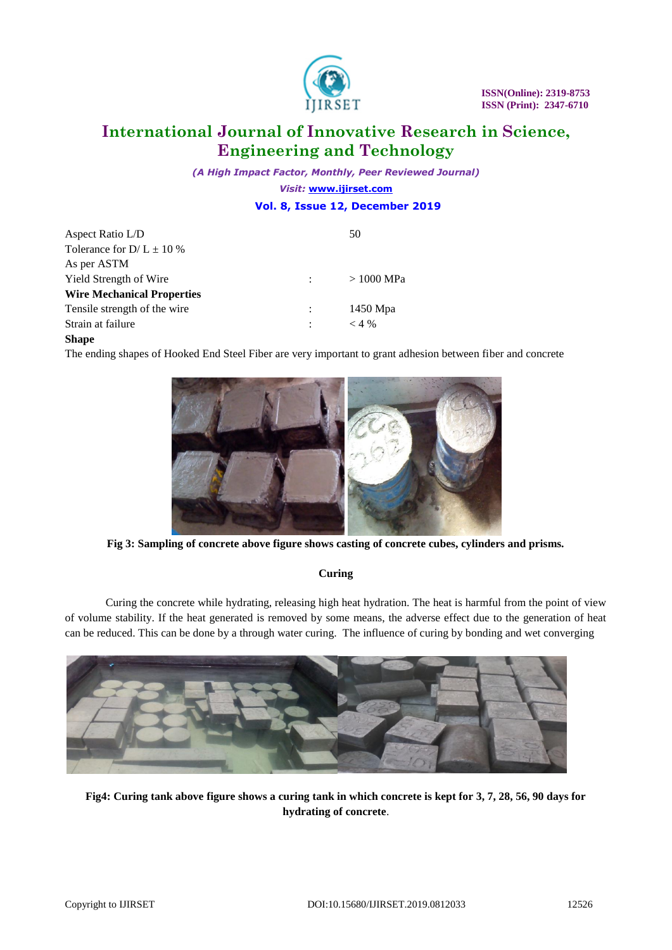

*(A High Impact Factor, Monthly, Peer Reviewed Journal) Visit:* **[www.ijirset.com](http://www.ijirset.com/)**

 **Vol. 8, Issue 12, December 2019**

| Aspect Ratio L/D                  | 50          |
|-----------------------------------|-------------|
| Tolerance for $D/L \pm 10 \%$     |             |
| As per ASTM                       |             |
| <b>Yield Strength of Wire</b>     | $>1000$ MPa |
| <b>Wire Mechanical Properties</b> |             |
| Tensile strength of the wire.     | 1450 Mpa    |
| Strain at failure                 | $<$ 4 %     |
|                                   |             |

## **Shape**

The ending shapes of Hooked End Steel Fiber are very important to grant adhesion between fiber and concrete



**Fig 3: Sampling of concrete above figure shows casting of concrete cubes, cylinders and prisms.**

## **Curing**

Curing the concrete while hydrating, releasing high heat hydration. The heat is harmful from the point of view of volume stability. If the heat generated is removed by some means, the adverse effect due to the generation of heat can be reduced. This can be done by a through water curing. The influence of curing by bonding and wet converging



**Fig4: Curing tank above figure shows a curing tank in which concrete is kept for 3, 7, 28, 56, 90 days for hydrating of concrete**.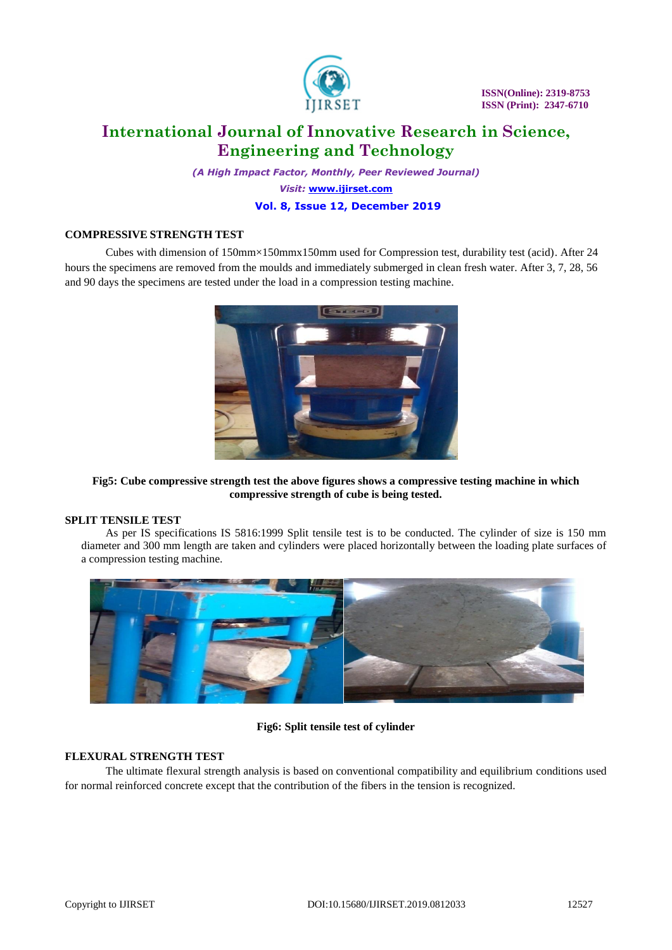

*(A High Impact Factor, Monthly, Peer Reviewed Journal) Visit:* **[www.ijirset.com](http://www.ijirset.com/) Vol. 8, Issue 12, December 2019**

#### **COMPRESSIVE STRENGTH TEST**

Cubes with dimension of 150mm×150mmx150mm used for Compression test, durability test (acid). After 24 hours the specimens are removed from the moulds and immediately submerged in clean fresh water. After 3, 7, 28, 56 and 90 days the specimens are tested under the load in a compression testing machine.



**Fig5: Cube compressive strength test the above figures shows a compressive testing machine in which compressive strength of cube is being tested.**

#### **SPLIT TENSILE TEST**

As per IS specifications IS 5816:1999 Split tensile test is to be conducted. The cylinder of size is 150 mm diameter and 300 mm length are taken and cylinders were placed horizontally between the loading plate surfaces of a compression testing machine.



## **Fig6: Split tensile test of cylinder**

#### **FLEXURAL STRENGTH TEST**

The ultimate flexural strength analysis is based on conventional compatibility and equilibrium conditions used for normal reinforced concrete except that the contribution of the fibers in the tension is recognized.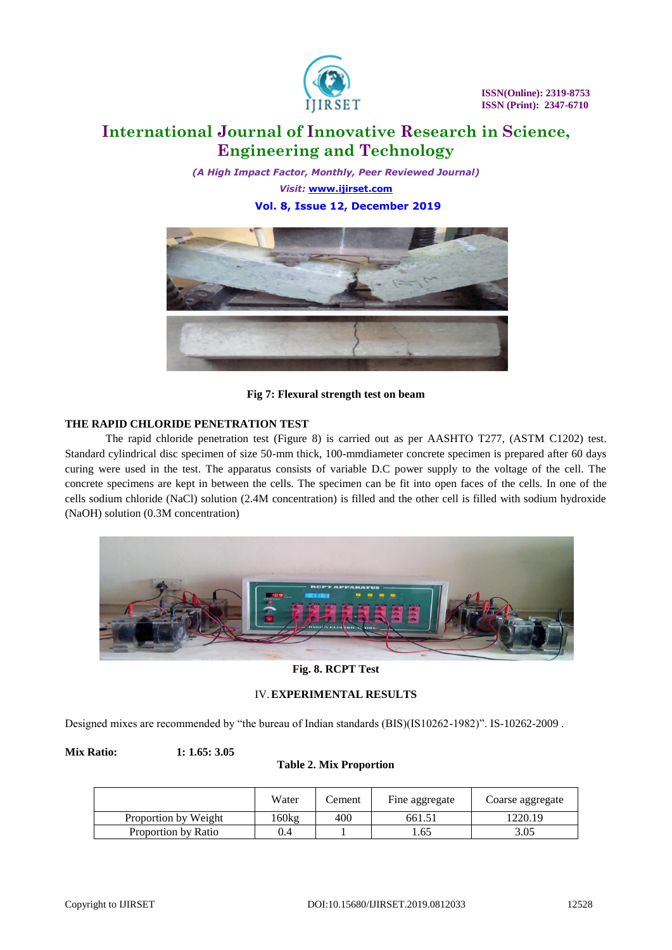

*(A High Impact Factor, Monthly, Peer Reviewed Journal) Visit:* **[www.ijirset.com](http://www.ijirset.com/) Vol. 8, Issue 12, December 2019**



**Fig 7: Flexural strength test on beam**

## **THE RAPID CHLORIDE PENETRATION TEST**

The rapid chloride penetration test (Figure 8) is carried out as per AASHTO T277, (ASTM C1202) test. Standard cylindrical disc specimen of size 50-mm thick, 100-mmdiameter concrete specimen is prepared after 60 days curing were used in the test. The apparatus consists of variable D.C power supply to the voltage of the cell. The concrete specimens are kept in between the cells. The specimen can be fit into open faces of the cells. In one of the cells sodium chloride (NaCl) solution (2.4M concentration) is filled and the other cell is filled with sodium hydroxide (NaOH) solution (0.3M concentration)



**Fig. 8. RCPT Test**

## IV.**EXPERIMENTAL RESULTS**

Designed mixes are recommended by "the bureau of Indian standards (BIS)(IS10262-1982)". IS-10262-2009 .

**Mix Ratio: 1: 1.65: 3.05**

## **Table 2. Mix Proportion**

|                      | Water  | ement. | Fine aggregate | Coarse aggregate |
|----------------------|--------|--------|----------------|------------------|
| Proportion by Weight | l 60kg | 400    | 661.51         | 1220.19          |
| Proportion by Ratio  | .4     |        | 1.65           | 3.05             |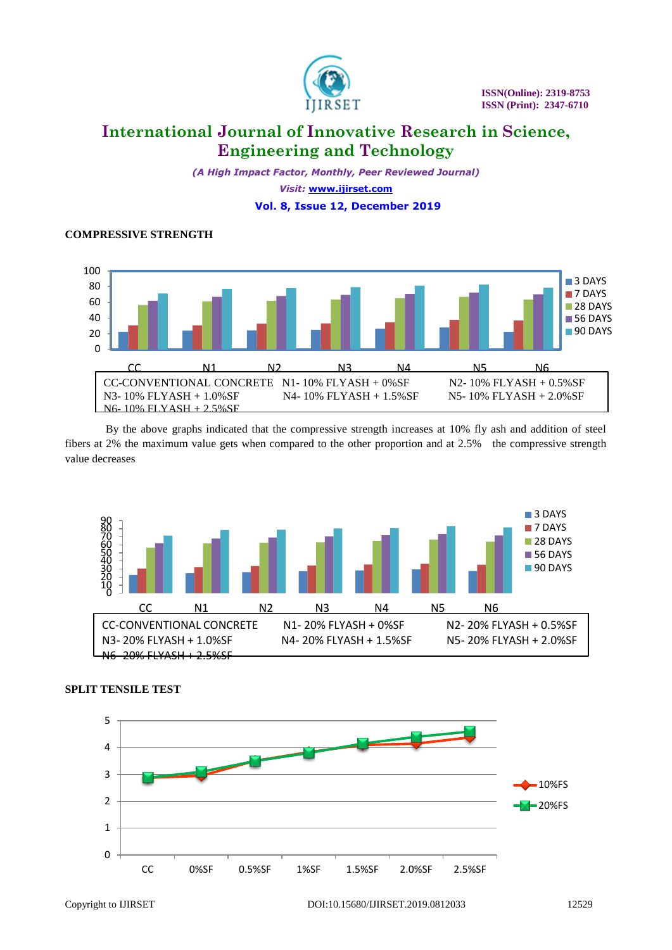

*(A High Impact Factor, Monthly, Peer Reviewed Journal) Visit:* **[www.ijirset.com](http://www.ijirset.com/) Vol. 8, Issue 12, December 2019**

#### **COMPRESSIVE STRENGTH**



By the above graphs indicated that the compressive strength increases at 10% fly ash and addition of steel fibers at 2% the maximum value gets when compared to the other proportion and at 2.5% the compressive strength value decreases





## **SPLIT TENSILE TEST**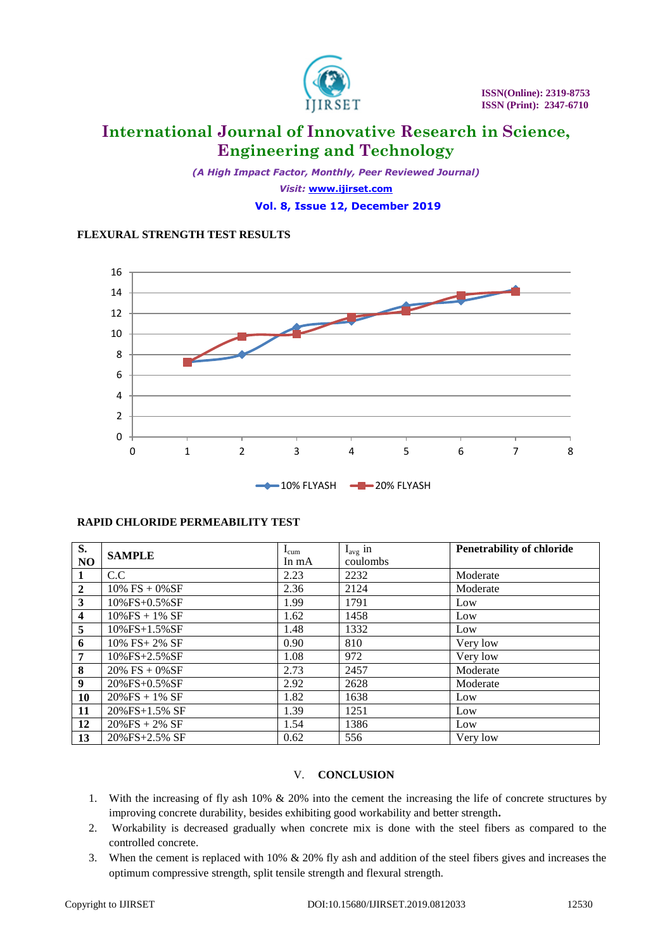

*(A High Impact Factor, Monthly, Peer Reviewed Journal) Visit:* **[www.ijirset.com](http://www.ijirset.com/) Vol. 8, Issue 12, December 2019**

## **FLEXURAL STRENGTH TEST RESULTS**



## **RAPID CHLORIDE PERMEABILITY TEST**

| S.                      | <b>SAMPLE</b>        | $I_{cum}$ | $I_{avg}$ in | <b>Penetrability of chloride</b> |
|-------------------------|----------------------|-----------|--------------|----------------------------------|
| NO                      |                      | In $mA$   | coulombs     |                                  |
| $\mathbf{1}$            | C.C                  | 2.23      | 2232         | Moderate                         |
| $\overline{2}$          | $10\%$ FS + $0\%$ SF | 2.36      | 2124         | Moderate                         |
| $\overline{\mathbf{3}}$ | $10\%$ FS+0.5% SF    | 1.99      | 1791         | Low                              |
| $\overline{\mathbf{4}}$ | $10\%$ FS + 1% SF    | 1.62      | 1458         | Low                              |
| 5                       | $10\%$ FS+1.5% SF    | 1.48      | 1332         | Low                              |
| 6                       | $10\%$ FS+ 2% SF     | 0.90      | 810          | Very low                         |
| $\overline{7}$          | 10%FS+2.5%SF         | 1.08      | 972          | Very low                         |
| 8                       | $20\%$ FS + $0\%$ SF | 2.73      | 2457         | Moderate                         |
| 9                       | 20%FS+0.5%SF         | 2.92      | 2628         | Moderate                         |
| 10                      | $20\%$ FS + 1% SF    | 1.82      | 1638         | Low                              |
| 11                      | 20%FS+1.5% SF        | 1.39      | 1251         | Low                              |
| 12                      | $20\%$ FS + 2% SF    | 1.54      | 1386         | Low                              |
| 13                      | $20\%$ FS+2.5% SF    | 0.62      | 556          | Very low                         |

## V. **CONCLUSION**

- 1. With the increasing of fly ash 10% & 20% into the cement the increasing the life of concrete structures by improving concrete durability, besides exhibiting good workability and better strength**.**
- 2. Workability is decreased gradually when concrete mix is done with the steel fibers as compared to the controlled concrete.
- 3. When the cement is replaced with 10% & 20% fly ash and addition of the steel fibers gives and increases the optimum compressive strength, split tensile strength and flexural strength.